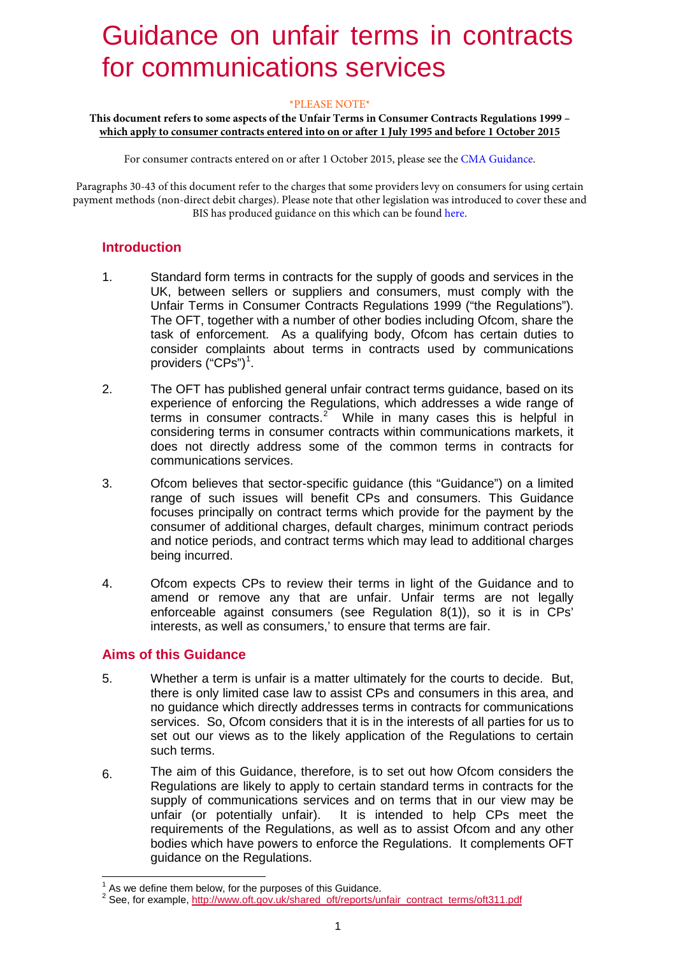# 1 Guidance on unfair terms in contracts for communications services

### \*PLEASE NOTE\*

#### **This document refers to some aspects of the Unfair Terms in Consumer Contracts Regulations 1999 – which apply to consumer contracts entered into on or after 1 July 1995 and before 1 October 2015**

For consumer contracts entered on or after 1 October 2015, please see the [CMA Guidance.](https://www.gov.uk/government/uploads/system/uploads/attachment_data/file/450440/Unfair_Terms_Main_Guidance.pdf) 

Paragraphs 30-43 of this document refer to the charges that some providers levy on consumers for using certain payment methods (non-direct debit charges). Please note that other legislation was introduced to cover these and BIS has produced guidance on this which can be foun[d here.](https://www.gov.uk/government/uploads/system/uploads/attachment_data/file/452405/BIS-15-343-BIS-payment-surcharges-guidance.pdf) 

### **Introduction**

- 1. Standard form terms in contracts for the supply of goods and services in the UK, between se[lle](#page-0-0)rs or suppliers and consumers, must comply with the Unfair Terms in Consumer Contracts Regulations 1999 ("the Regulations"). The OFT, together with a number of other bodies including Ofcom, share the task of enforcement. As a qualifying body, Ofcom has certain duties to consider complaints about te[rm](#page-0-1)s in contracts used by communications providers ("CPs")<sup>1</sup>.
- 2. The OFT has published general unfair contract terms guidance, based on its experience of enforcing the Regulations, which addresses a wide range of terms in consumer contracts.<sup>2</sup> While in many cases this is helpful in considering terms in consumer contracts within communications markets, it does not directly address some of the common terms in contracts for communications services.
- 3. Ofcom believes that sector-specific guidance (this "Guidance") on a limited range of such issues will benefit CPs and consumers. This Guidance focuses principally on contract terms which provide for the payment by the consumer of additional charges, default charges, minimum contract periods and notice periods, and contract terms which may lead to additional charges being incurred.
- 4. Ofcom expects CPs to review their terms in light of the Guidance and to amend or remove any that are unfair. Unfair terms are not legally enforceable against consumers (see Regulation 8(1)), so it is in CPs' interests, as well as consumers,' to ensure that terms are fair.

# **Aims of this Guidance**

- 5. Whether a term is unfair is a matter ultimately for the courts to decide. But, there is only limited case law to assist CPs and consumers in this area, and no guidance which directly addresses terms in contracts for communications services. So, Ofcom considers that it is in the interests of all parties for us to set out our views as to the likely application of the Regulations to certain such terms.
- 6. The aim of this Guidance, therefore, is to set out how Ofcom considers the Regulations are likely to apply to certain standard terms in contracts for the supply of communications services and on terms that in our view may be unfair (or potentially unfair). It is intended to help CPs meet the requirements of the Regulations, as well as to assist Ofcom and any other bodies which have powers to enforce the Regulations. It complements OFT guidance [on the Regulations.](http://www.oft.gov.uk/shared_oft/reports/unfair_contract_terms/oft311.pdf)

<span id="page-0-1"></span><span id="page-0-0"></span><sup>&</sup>lt;sup>1</sup> As we define them below, for the purposes of this Guidance.<br><sup>2</sup> See, for example, http://www.oft.gov.uk/shared\_oft/reports/unfair\_contract\_terms/oft311.pdf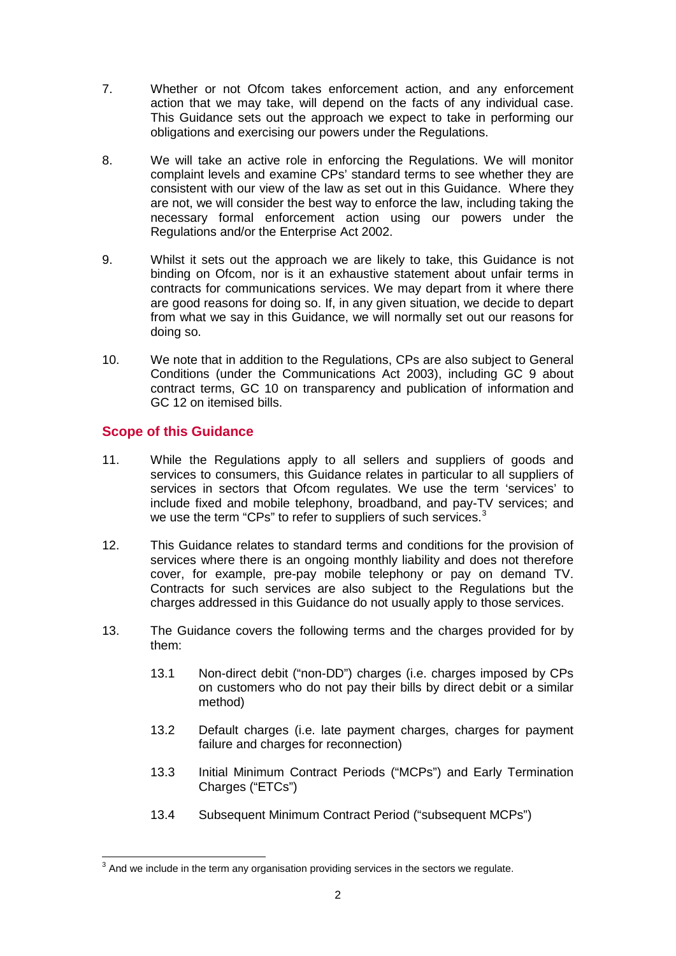- 7. Whether or not Ofcom takes enforcement action, and any enforcement action that we may take, will depend on the facts of any individual case. This Guidance sets out the approach we expect to take in performing our obligations and exercising our powers under the Regulations.
- 8. We will take an active role in enforcing the Regulations. We will monitor complaint levels and examine CPs' standard terms to see whether they are consistent with our view of the law as set out in this Guidance. Where they are not, we will consider the best way to enforce the law, including taking the necessary formal enforcement action using our powers under the Regulations and/or the Enterprise Act 2002.
- 9. Whilst it sets out the approach we are likely to take, this Guidance is not binding on Ofcom, nor is it an exhaustive statement about unfair terms in contracts for communications services. We may depart from it where there are good reasons for doing so. If, in any given situation, we decide to depart from what we say in this Guidance, we will normally set out our reasons for doing so.
- 10. We note that in addition to the Regulations, CPs are also subject to General Conditions (under the Communications Act 2003), including GC 9 about contract terms, GC 10 on transparency and publication of information and GC 12 on itemised bills.

# **Scope of this Guidance**

- 11. While the Regulations apply to all sellers and suppliers of goods and services to consumers, this Guidance relates in particular to all suppliers of services in sectors that Ofcom regulates. We use the term 'services' to include fixed and mobile telephony, broadband, and pay-TV services; and we use the term "CPs" to refer to suppliers of such services.<sup>[3](#page-1-0)</sup>
- 12. This Guidance relates to standard terms and conditions for the provision of services where there is an ongoing monthly liability and does not therefore cover, for example, pre-pay mobile telephony or pay on demand TV. Contracts for such services are also subject to the Regulations but the charges addressed in this Guidance do not usually apply to those services.
- 13. The Guidance covers the following terms and the charges provided for by them:
	- 13.1 Non-direct debit ("non-DD") charges (i.e. charges imposed by CPs on customers who do not pay their bills by direct debit or a similar method)
	- 13.2 Default charges (i.e. late payment charges, charges for payment failure and charges for reconnection)
	- 13.3 Initial Minimum Contract Periods ("MCPs") and Early Termination Charges ("ETCs")
	- 13.4 Subsequent Minimum Contract Period ("subsequent MCPs")

<span id="page-1-0"></span> $3$  And we include in the term any organisation providing services in the sectors we regulate.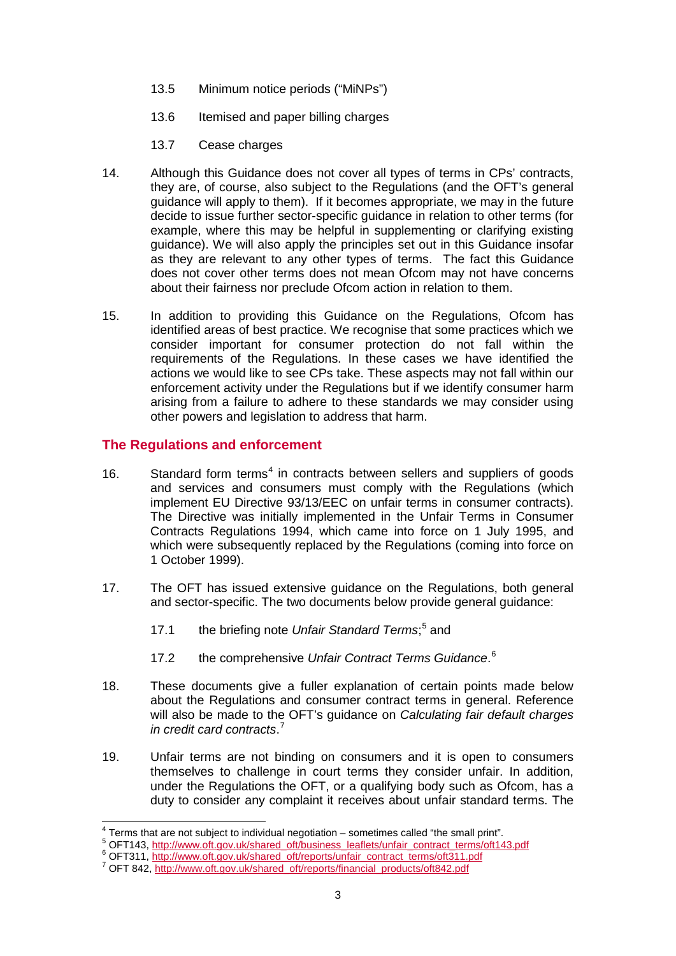- 13.5 Minimum notice periods ("MiNPs")
- 13.6 Itemised and paper billing charges
- 13.7 Cease charges
- 14. Although this Guidance does not cover all types of terms in CPs' contracts, they are, of course, also subject to the Regulations (and the OFT's general guidance will apply to them). If it becomes appropriate, we may in the future decide to issue further sector-specific guidance in relation to other terms (for example, where this may be helpful in supplementing or clarifying existing guidance). We will also apply the principles set out in this Guidance insofar as they are relevant to any other types of terms. The fact this Guidance does not cover other terms does not mean Ofcom may not have concerns about their fairness nor preclude Ofcom action in relation to them.
- 15. In addition to providing this Guidance on the Regulations, Ofcom has identified areas of best practice. We recognise that some practices which we consider important for consumer protection do not fall within the requirements of the Regulations. In these cases we have identified the actions we would like to see CPs take. These aspects may not fall within our enforcement activity under the Regulations but if we identify consumer harm arising from a failure to adhere to these standards we may consider using other powers and legislation to address that harm.

### **The Regulations and enforcement**

- 16. Standard form terms<sup>[4](#page-2-0)</sup> in contracts between sellers and suppliers of goods and services and consumers must comply with the Regulations (which implement EU Directive 93/13/EEC on unfair terms in consumer contracts). The Directive was initially implemented in the Unfair Terms in Consumer Contracts Regulations 1994, which came into force on 1 July 1995, and which were subsequently replaced by the Regulations (coming into force on 1 October 1999).
- 17. The OFT has issued extensive guidance on the Regulations, both general and sector-specific. The two documents below provide general guidance:
	- 17.1 the briefing note *Unfair Standard Terms*; [5](#page-2-1) and
	- 17.2 the comprehensive *Unfair Contract Terms Guidance*. [6](#page-2-2)
- 18. These documents give a fuller explanation of certain points made below about the Regulations and consumer contract terms in general. Reference will also be made to the OFT's guidance on *Calculating fair default charges in credit card contracts*. [7](#page-2-3)
- 19. Unfair terms are not binding on consumers and it is open to consumers themselves to challenge in court terms they consider unfair. In addition, under the Regulations the OFT, or a qualifying body such as Ofcom, has a duty to consider any complaint it receives about unfair standard terms. The

<span id="page-2-1"></span><span id="page-2-0"></span><sup>&</sup>lt;sup>4</sup> Terms that are not subject to individual negotiation – sometimes called "the small print".<br>
<sup>5</sup> OFT143, [http://www.oft.gov.uk/shared\\_oft/business\\_leaflets/unfair\\_contract\\_terms/oft143.pdf](http://www.oft.gov.uk/shared_oft/business_leaflets/unfair_contract_terms/oft143.pdf)<br>
<sup>6</sup> OFT311, http://www.oft.go

<span id="page-2-3"></span><span id="page-2-2"></span>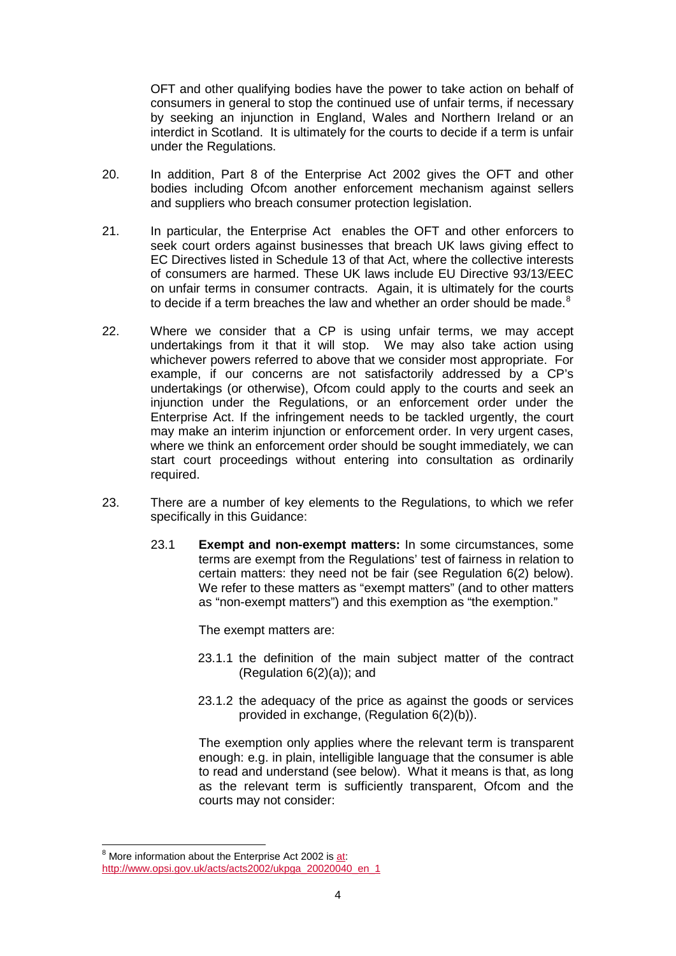OFT and other qualifying bodies have the power to take action on behalf of consumers in general to stop the continued use of unfair terms, if necessary by seeking an injunction in England, Wales and Northern Ireland or an interdict in Scotland. It is ultimately for the courts to decide if a term is unfair under the Regulations.

- 20. In addition, Part 8 of the Enterprise Act 2002 gives the OFT and other bodies including Ofcom another enforcement mechanism against sellers and suppliers who breach consumer protection legislation.
- 21. In particular, the Enterprise Act enables the OFT and other enforcers to seek court orders against businesses that breach UK laws giving effect to EC Directives listed in Schedule 13 of that Act, where the collective interests of consumers are harmed. These UK laws include EU Directive 93/13/EEC on unfair terms in consumer contracts. Again, it is ultimately for the courts to decide if a term breaches the law and whether an order should be made. $8$
- 22. Where we consider that a CP is using unfair terms, we may accept undertakings from it that it will stop. We may also take action using whichever powers referred to above that we consider most appropriate. For example, if our concerns are not satisfactorily addressed by a CP's undertakings (or otherwise), Ofcom could apply to the courts and seek an injunction under the Regulations, or an enforcement order under the Enterprise Act. If the infringement needs to be tackled urgently, the court may make an interim injunction or enforcement order. In very urgent cases, where we think an enforcement order should be sought immediately, we can start court proceedings without entering into consultation as ordinarily required.
- 23. There are a number of key elements to the Regulations, to which we refer specifically in this Guidance:
	- 23.1 **Exempt and non-exempt matters:** In some circumstances, some terms are exempt from the Regulations' test of fairness in relation to certain matters: they need not be fair (see Regulation 6(2) below). We refer to these matters as "exempt matters" (and to other matters as "non-exempt matters") and this exemption as "the exemption."

The exempt matters are:

- 23.1.1 the definition of the main subject matter of the contract (Regulation 6(2)(a)); and
- 23.1.2 the adequacy of the price as against the goods or services provided in exchange, (Regulation 6(2)(b)).

The exemption only applies where the relevant term is transparent enough: e.g. in plain, intelligible language that the consumer is able to read and understand (see below). What it means is that, as long as the relevant term is sufficiently transparent, Ofcom and the courts may not consider:

<span id="page-3-0"></span> $8$  More information about the Enterprise Act 2002 i[s at:](http://at/) [http://www.opsi.gov.uk/acts/acts2002/ukpga\\_20020040\\_en\\_1](http://www.opsi.gov.uk/acts/acts2002/ukpga_20020040_en_1)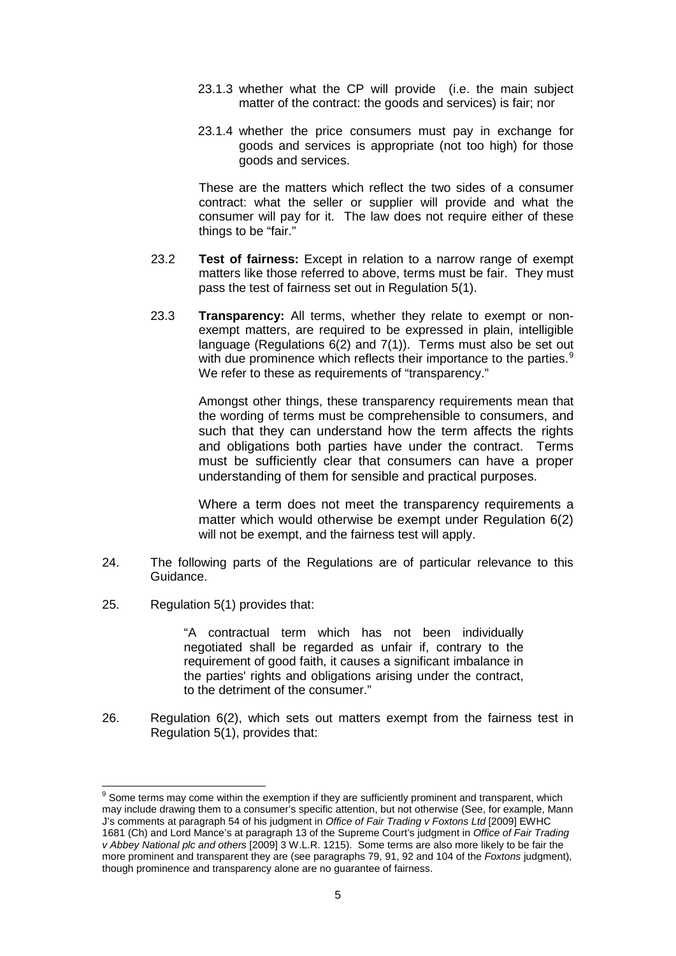- 23.1.3 whether what the CP will provide (i.e. the main subject matter of the contract: the goods and services) is fair; nor
- 23.1.4 whether the price consumers must pay in exchange for goods and services is appropriate (not too high) for those goods and services.

These are the matters which reflect the two sides of a consumer contract: what the seller or supplier will provide and what the consumer will pay for it. The law does not require either of these things to be "fair."

- 23.2 **Test of fairness:** Except in relation to a narrow range of exempt matters like those referred to above, terms must be fair. They must pass the test of fairness set out in Regulation 5(1).
- 23.3 **Transparency:** All terms, whether they relate to exempt or nonexempt matters, are required to be expressed in plain, intelligible language (Regulations 6(2) and 7(1)). Terms must also be set out with due prominence which reflects their importance to the parties.<sup>[9](#page-4-0)</sup> We refer to these as requirements of "transparency."

Amongst other things, these transparency requirements mean that the wording of terms must be comprehensible to consumers, and such that they can understand how the term affects the rights and obligations both parties have under the contract. Terms must be sufficiently clear that consumers can have a proper understanding of them for sensible and practical purposes.

Where a term does not meet the transparency requirements a matter which would otherwise be exempt under Regulation 6(2) will not be exempt, and the fairness test will apply.

- 24. The following parts of the Regulations are of particular relevance to this Guidance.
- 25. Regulation 5(1) provides that:

"A contractual term which has not been individually negotiated shall be regarded as unfair if, contrary to the requirement of good faith, it causes a significant imbalance in the parties' rights and obligations arising under the contract, to the detriment of the consumer."

26. Regulation 6(2), which sets out matters exempt from the fairness test in Regulation 5(1), provides that:

<span id="page-4-0"></span><sup>&</sup>lt;sup>9</sup> Some terms mav come within the exemption if they are sufficiently prominent and transparent, which may include drawing them to a consumer's specific attention, but not otherwise (See, for example, Mann J's comments at paragraph 54 of his judgment in *Office of Fair Trading v Foxtons Ltd* [2009] EWHC 1681 (Ch) and Lord Mance's at paragraph 13 of the Supreme Court's judgment in *Office of Fair Trading v Abbey National plc and others* [2009] 3 W.L.R. 1215). Some terms are also more likely to be fair the more prominent and transparent they are (see paragraphs 79, 91, 92 and 104 of the *Foxtons* judgment), though prominence and transparency alone are no guarantee of fairness.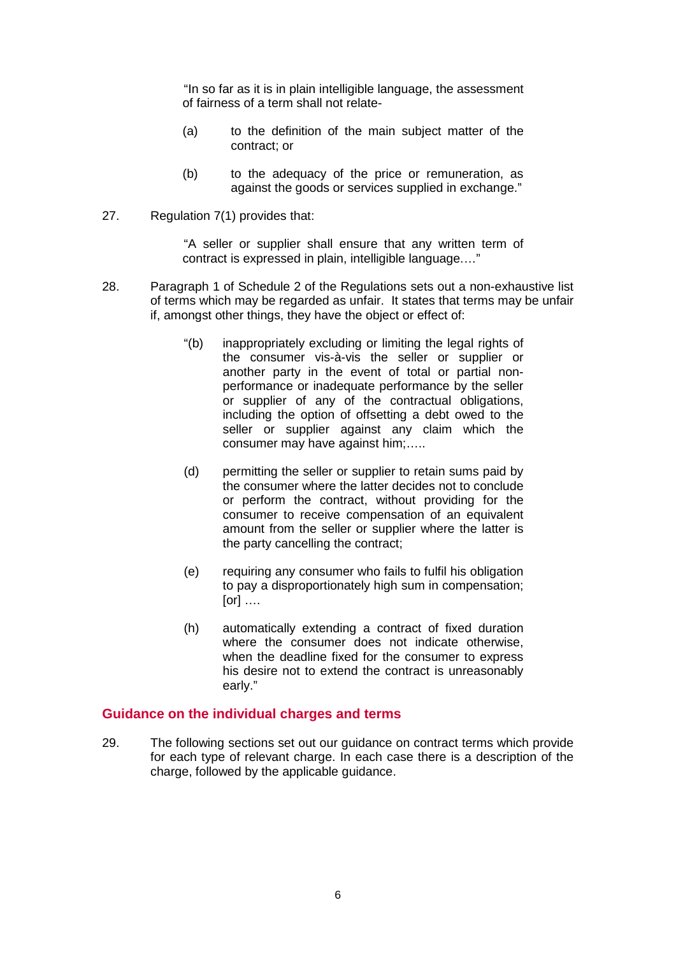"In so far as it is in plain intelligible language, the assessment of fairness of a term shall not relate-

- (a) to the definition of the main subject matter of the contract; or
- (b) to the adequacy of the price or remuneration, as against the goods or services supplied in exchange."
- 27. Regulation 7(1) provides that:

"A seller or supplier shall ensure that any written term of contract is expressed in plain, intelligible language.…"

- 28. Paragraph 1 of Schedule 2 of the Regulations sets out a non-exhaustive list of terms which may be regarded as unfair. It states that terms may be unfair if, amongst other things, they have the object or effect of:
	- "(b) inappropriately excluding or limiting the legal rights of the consumer vis-à-vis the seller or supplier or another party in the event of total or partial nonperformance or inadequate performance by the seller or supplier of any of the contractual obligations, including the option of offsetting a debt owed to the seller or supplier against any claim which the consumer may have against him;…..
	- (d) permitting the seller or supplier to retain sums paid by the consumer where the latter decides not to conclude or perform the contract, without providing for the consumer to receive compensation of an equivalent amount from the seller or supplier where the latter is the party cancelling the contract;
	- (e) requiring any consumer who fails to fulfil his obligation to pay a disproportionately high sum in compensation; [or] ….
	- (h) automatically extending a contract of fixed duration where the consumer does not indicate otherwise. when the deadline fixed for the consumer to express his desire not to extend the contract is unreasonably early."

### **Guidance on the individual charges and terms**

29. The following sections set out our guidance on contract terms which provide for each type of relevant charge. In each case there is a description of the charge, followed by the applicable guidance.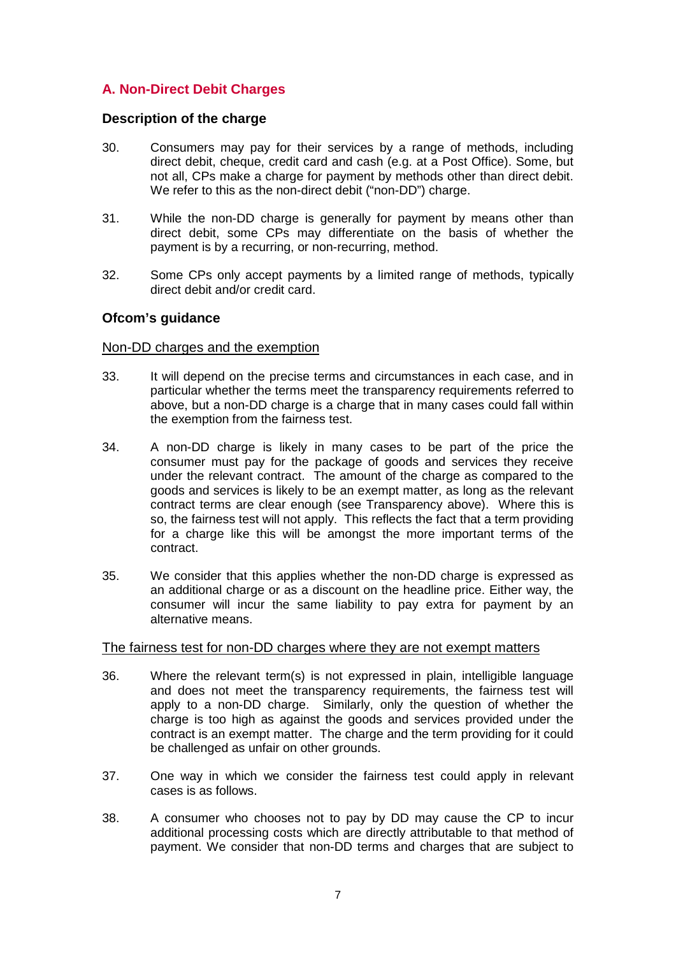# **A. Non-Direct Debit Charges**

### **Description of the charge**

- 30. Consumers may pay for their services by a range of methods, including direct debit, cheque, credit card and cash (e.g. at a Post Office). Some, but not all, CPs make a charge for payment by methods other than direct debit. We refer to this as the non-direct debit ("non-DD") charge.
- 31. While the non-DD charge is generally for payment by means other than direct debit, some CPs may differentiate on the basis of whether the payment is by a recurring, or non-recurring, method.
- 32. Some CPs only accept payments by a limited range of methods, typically direct debit and/or credit card.

### **Ofcom's guidance**

### Non-DD charges and the exemption

- 33. It will depend on the precise terms and circumstances in each case, and in particular whether the terms meet the transparency requirements referred to above, but a non-DD charge is a charge that in many cases could fall within the exemption from the fairness test.
- 34. A non-DD charge is likely in many cases to be part of the price the consumer must pay for the package of goods and services they receive under the relevant contract. The amount of the charge as compared to the goods and services is likely to be an exempt matter, as long as the relevant contract terms are clear enough (see Transparency above). Where this is so, the fairness test will not apply. This reflects the fact that a term providing for a charge like this will be amongst the more important terms of the contract.
- 35. We consider that this applies whether the non-DD charge is expressed as an additional charge or as a discount on the headline price. Either way, the consumer will incur the same liability to pay extra for payment by an alternative means.

### The fairness test for non-DD charges where they are not exempt matters

- 36. Where the relevant term(s) is not expressed in plain, intelligible language and does not meet the transparency requirements, the fairness test will apply to a non-DD charge. Similarly, only the question of whether the charge is too high as against the goods and services provided under the contract is an exempt matter. The charge and the term providing for it could be challenged as unfair on other grounds.
- 37. One way in which we consider the fairness test could apply in relevant cases is as follows.
- 38. A consumer who chooses not to pay by DD may cause the CP to incur additional processing costs which are directly attributable to that method of payment. We consider that non-DD terms and charges that are subject to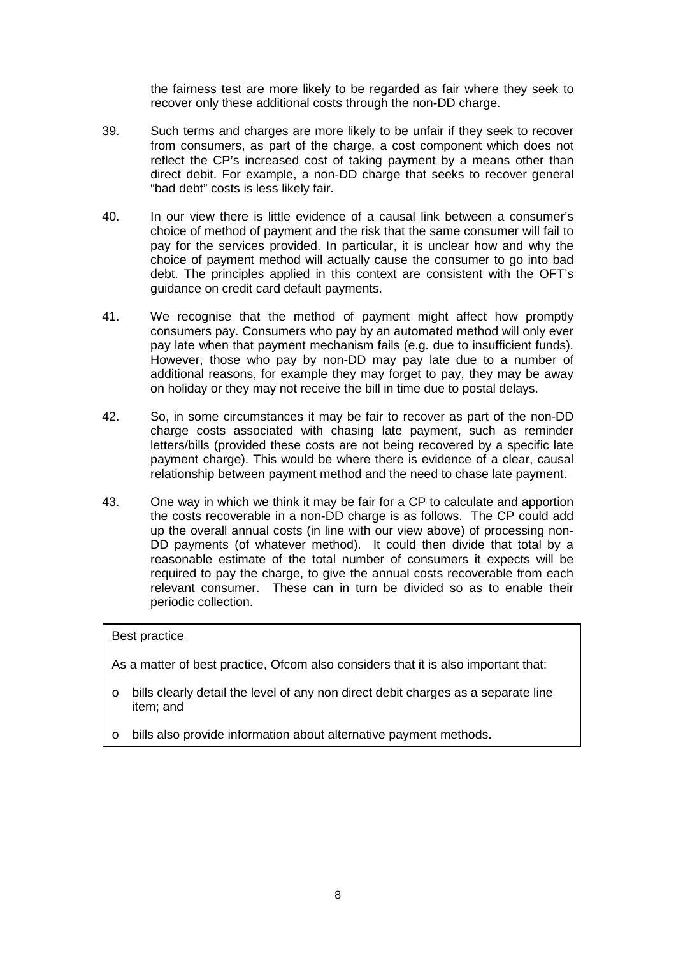the fairness test are more likely to be regarded as fair where they seek to recover only these additional costs through the non-DD charge.

- 39. Such terms and charges are more likely to be unfair if they seek to recover from consumers, as part of the charge, a cost component which does not reflect the CP's increased cost of taking payment by a means other than direct debit. For example, a non-DD charge that seeks to recover general "bad debt" costs is less likely fair.
- 40. In our view there is little evidence of a causal link between a consumer's choice of method of payment and the risk that the same consumer will fail to pay for the services provided. In particular, it is unclear how and why the choice of payment method will actually cause the consumer to go into bad debt. The principles applied in this context are consistent with the OFT's guidance on credit card default payments.
- 41. We recognise that the method of payment might affect how promptly consumers pay. Consumers who pay by an automated method will only ever pay late when that payment mechanism fails (e.g. due to insufficient funds). However, those who pay by non-DD may pay late due to a number of additional reasons, for example they may forget to pay, they may be away on holiday or they may not receive the bill in time due to postal delays.
- 42. So, in some circumstances it may be fair to recover as part of the non-DD charge costs associated with chasing late payment, such as reminder letters/bills (provided these costs are not being recovered by a specific late payment charge). This would be where there is evidence of a clear, causal relationship between payment method and the need to chase late payment.
- 43. One way in which we think it may be fair for a CP to calculate and apportion the costs recoverable in a non-DD charge is as follows. The CP could add up the overall annual costs (in line with our view above) of processing non-DD payments (of whatever method). It could then divide that total by a reasonable estimate of the total number of consumers it expects will be required to pay the charge, to give the annual costs recoverable from each relevant consumer. These can in turn be divided so as to enable their periodic collection.

### Best practice

As a matter of best practice, Ofcom also considers that it is also important that:

- $\circ$  bills clearly detail the level of any non direct debit charges as a separate line item; and
- o bills also provide information about alternative payment methods.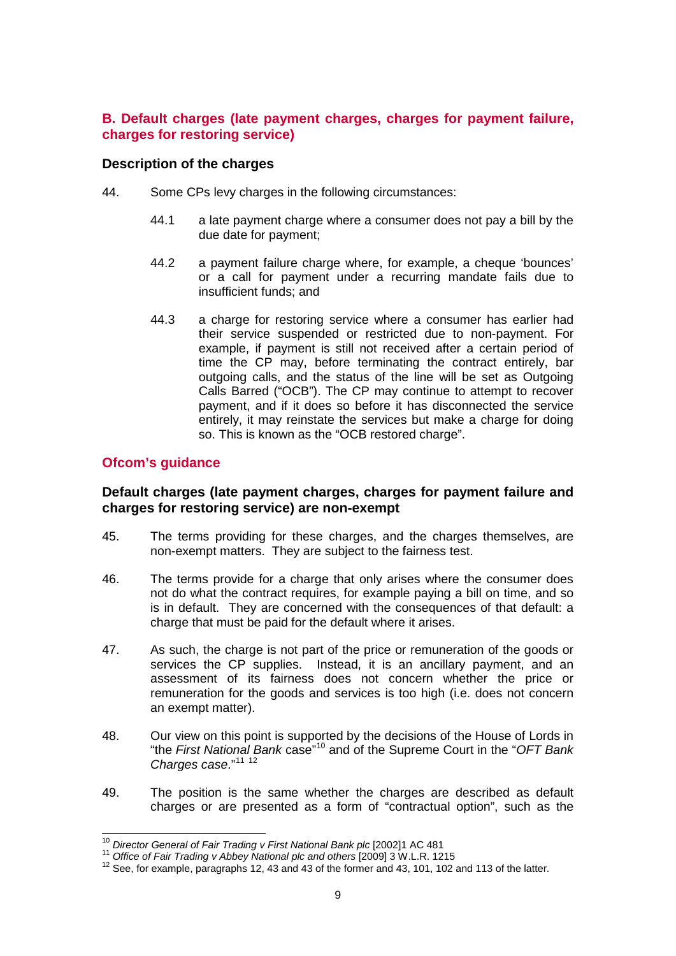# **B. Default charges (late payment charges, charges for payment failure, charges for restoring service)**

### **Description of the charges**

- 44. Some CPs levy charges in the following circumstances:
	- 44.1 a late payment charge where a consumer does not pay a bill by the due date for payment;
	- 44.2 a payment failure charge where, for example, a cheque 'bounces' or a call for payment under a recurring mandate fails due to insufficient funds; and
	- 44.3 a charge for restoring service where a consumer has earlier had their service suspended or restricted due to non-payment. For example, if payment is still not received after a certain period of time the CP may, before terminating the contract entirely, bar outgoing calls, and the status of the line will be set as Outgoing Calls Barred ("OCB"). The CP may continue to attempt to recover payment, and if it does so before it has disconnected the service entirely, it may reinstate the services but make a charge for doing so. This is known as the "OCB restored charge".

# **Ofcom's guidance**

### **Default charges (late payment charges, charges for payment failure and charges for restoring service) are non-exempt**

- 45. The terms providing for these charges, and the charges themselves, are non-exempt matters. They are subject to the fairness test.
- 46. The terms provide for a charge that only arises where the consumer does not do what the contract requires, for example paying a bill on time, and so is in default. They are concerned with the consequences of that default: a charge that must be paid for the default where it arises.
- 47. As such, the charge is not part of the price or remuneration of the goods or services the CP supplies. Instead, it is an ancillary payment, and an assessment of its fairness does not concern whether the price or remuneration for the goods and services is too high (i.e. does not concern an exempt matter).
- 48. Our view on this point is supported by the decisions of the House of Lords in "the *First National Bank* case"[10](#page-8-0) and of the Supreme Court in the "*OFT Bank Charges case*." [11](#page-8-1) [12](#page-8-2)
- 49. The position is the same whether the charges are described as default charges or are presented as a form of "contractual option", such as the

<span id="page-8-2"></span><span id="page-8-1"></span>

<span id="page-8-0"></span><sup>&</sup>lt;sup>10</sup> Director General of Fair Trading v First National Bank plc [2002]1 AC 481<br><sup>11</sup> Office of Fair Trading v Abbey National plc and others [2009] 3 W.L.R. 1215<br><sup>12</sup> See, for example, paragraphs 12, 43 and 43 of the former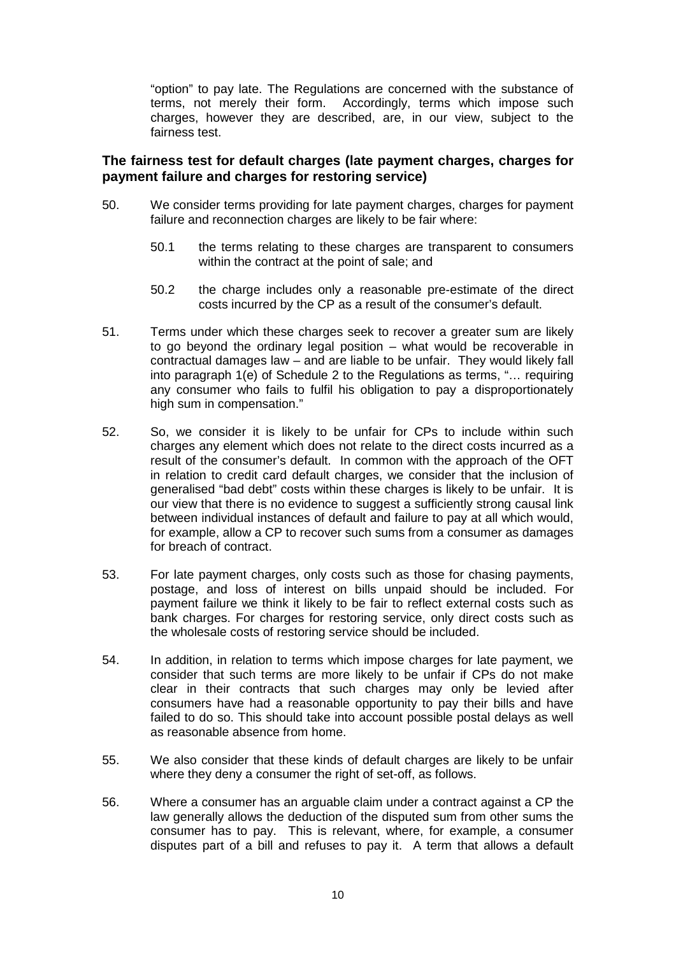"option" to pay late. The Regulations are concerned with the substance of terms, not merely their form. Accordingly, terms which impose such charges, however they are described, are, in our view, subject to the fairness test.

# **The fairness test for default charges (late payment charges, charges for payment failure and charges for restoring service)**

- 50. We consider terms providing for late payment charges, charges for payment failure and reconnection charges are likely to be fair where:
	- 50.1 the terms relating to these charges are transparent to consumers within the contract at the point of sale; and
	- 50.2 the charge includes only a reasonable pre-estimate of the direct costs incurred by the CP as a result of the consumer's default.
- 51. Terms under which these charges seek to recover a greater sum are likely to go beyond the ordinary legal position – what would be recoverable in contractual damages law – and are liable to be unfair. They would likely fall into paragraph 1(e) of Schedule 2 to the Regulations as terms, "… requiring any consumer who fails to fulfil his obligation to pay a disproportionately high sum in compensation."
- 52. So, we consider it is likely to be unfair for CPs to include within such charges any element which does not relate to the direct costs incurred as a result of the consumer's default. In common with the approach of the OFT in relation to credit card default charges, we consider that the inclusion of generalised "bad debt" costs within these charges is likely to be unfair. It is our view that there is no evidence to suggest a sufficiently strong causal link between individual instances of default and failure to pay at all which would, for example, allow a CP to recover such sums from a consumer as damages for breach of contract.
- 53. For late payment charges, only costs such as those for chasing payments, postage, and loss of interest on bills unpaid should be included. For payment failure we think it likely to be fair to reflect external costs such as bank charges. For charges for restoring service, only direct costs such as the wholesale costs of restoring service should be included.
- 54. In addition, in relation to terms which impose charges for late payment, we consider that such terms are more likely to be unfair if CPs do not make clear in their contracts that such charges may only be levied after consumers have had a reasonable opportunity to pay their bills and have failed to do so. This should take into account possible postal delays as well as reasonable absence from home.
- 55. We also consider that these kinds of default charges are likely to be unfair where they deny a consumer the right of set-off, as follows.
- 56. Where a consumer has an arguable claim under a contract against a CP the law generally allows the deduction of the disputed sum from other sums the consumer has to pay. This is relevant, where, for example, a consumer disputes part of a bill and refuses to pay it. A term that allows a default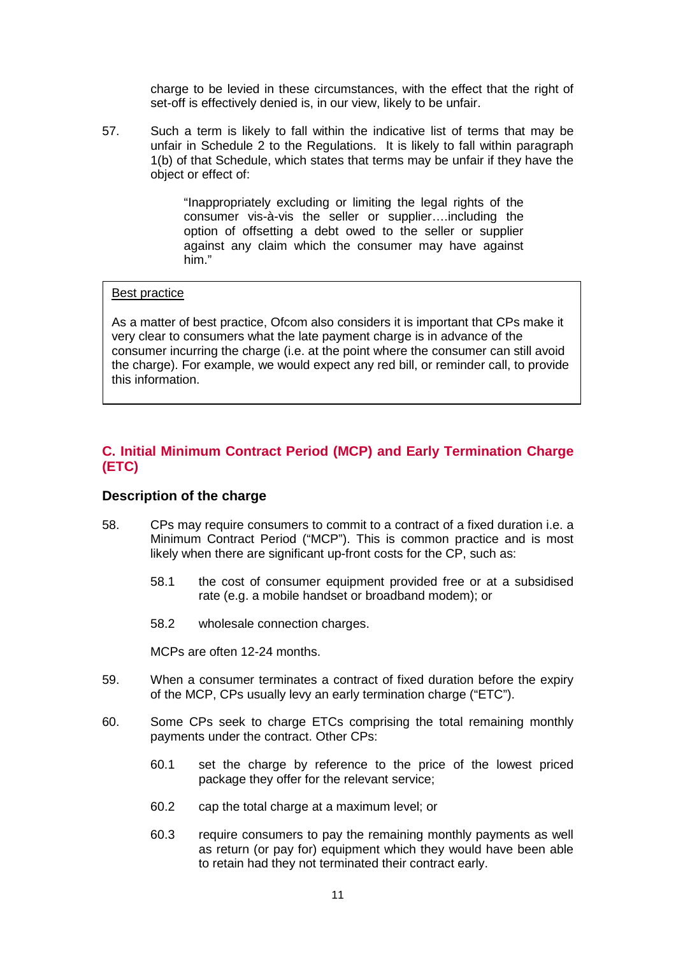charge to be levied in these circumstances, with the effect that the right of set-off is effectively denied is, in our view, likely to be unfair.

57. Such a term is likely to fall within the indicative list of terms that may be unfair in Schedule 2 to the Regulations. It is likely to fall within paragraph 1(b) of that Schedule, which states that terms may be unfair if they have the object or effect of:

> "Inappropriately excluding or limiting the legal rights of the consumer vis-à-vis the seller or supplier….including the option of offsetting a debt owed to the seller or supplier against any claim which the consumer may have against him."

### Best practice

As a matter of best practice, Ofcom also considers it is important that CPs make it very clear to consumers what the late payment charge is in advance of the consumer incurring the charge (i.e. at the point where the consumer can still avoid the charge). For example, we would expect any red bill, or reminder call, to provide this information.

# **C. Initial Minimum Contract Period (MCP) and Early Termination Charge (ETC)**

### **Description of the charge**

- 58. CPs may require consumers to commit to a contract of a fixed duration i.e. a Minimum Contract Period ("MCP"). This is common practice and is most likely when there are significant up-front costs for the CP, such as:
	- 58.1 the cost of consumer equipment provided free or at a subsidised rate (e.g. a mobile handset or broadband modem); or
	- 58.2 wholesale connection charges.

MCPs are often 12-24 months.

- 59. When a consumer terminates a contract of fixed duration before the expiry of the MCP, CPs usually levy an early termination charge ("ETC").
- 60. Some CPs seek to charge ETCs comprising the total remaining monthly payments under the contract. Other CPs:
	- 60.1 set the charge by reference to the price of the lowest priced package they offer for the relevant service;
	- 60.2 cap the total charge at a maximum level; or
	- 60.3 require consumers to pay the remaining monthly payments as well as return (or pay for) equipment which they would have been able to retain had they not terminated their contract early.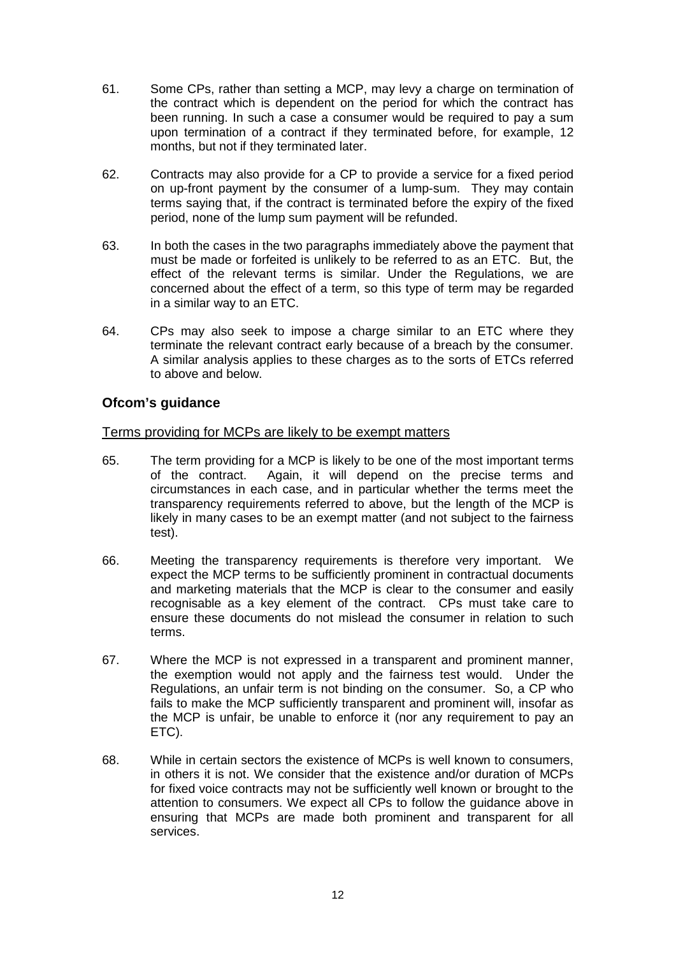- 61. Some CPs, rather than setting a MCP, may levy a charge on termination of the contract which is dependent on the period for which the contract has been running. In such a case a consumer would be required to pay a sum upon termination of a contract if they terminated before, for example, 12 months, but not if they terminated later.
- 62. Contracts may also provide for a CP to provide a service for a fixed period on up-front payment by the consumer of a lump-sum. They may contain terms saying that, if the contract is terminated before the expiry of the fixed period, none of the lump sum payment will be refunded.
- 63. In both the cases in the two paragraphs immediately above the payment that must be made or forfeited is unlikely to be referred to as an ETC. But, the effect of the relevant terms is similar. Under the Regulations, we are concerned about the effect of a term, so this type of term may be regarded in a similar way to an ETC.
- 64. CPs may also seek to impose a charge similar to an ETC where they terminate the relevant contract early because of a breach by the consumer. A similar analysis applies to these charges as to the sorts of ETCs referred to above and below.

# **Ofcom's guidance**

### Terms providing for MCPs are likely to be exempt matters

- 65. The term providing for a MCP is likely to be one of the most important terms of the contract. Again, it will depend on the precise terms and circumstances in each case, and in particular whether the terms meet the transparency requirements referred to above, but the length of the MCP is likely in many cases to be an exempt matter (and not subject to the fairness test).
- 66. Meeting the transparency requirements is therefore very important. We expect the MCP terms to be sufficiently prominent in contractual documents and marketing materials that the MCP is clear to the consumer and easily recognisable as a key element of the contract. CPs must take care to ensure these documents do not mislead the consumer in relation to such terms.
- 67. Where the MCP is not expressed in a transparent and prominent manner, the exemption would not apply and the fairness test would. Under the Regulations, an unfair term is not binding on the consumer. So, a CP who fails to make the MCP sufficiently transparent and prominent will, insofar as the MCP is unfair, be unable to enforce it (nor any requirement to pay an ETC).
- 68. While in certain sectors the existence of MCPs is well known to consumers, in others it is not. We consider that the existence and/or duration of MCPs for fixed voice contracts may not be sufficiently well known or brought to the attention to consumers. We expect all CPs to follow the guidance above in ensuring that MCPs are made both prominent and transparent for all services.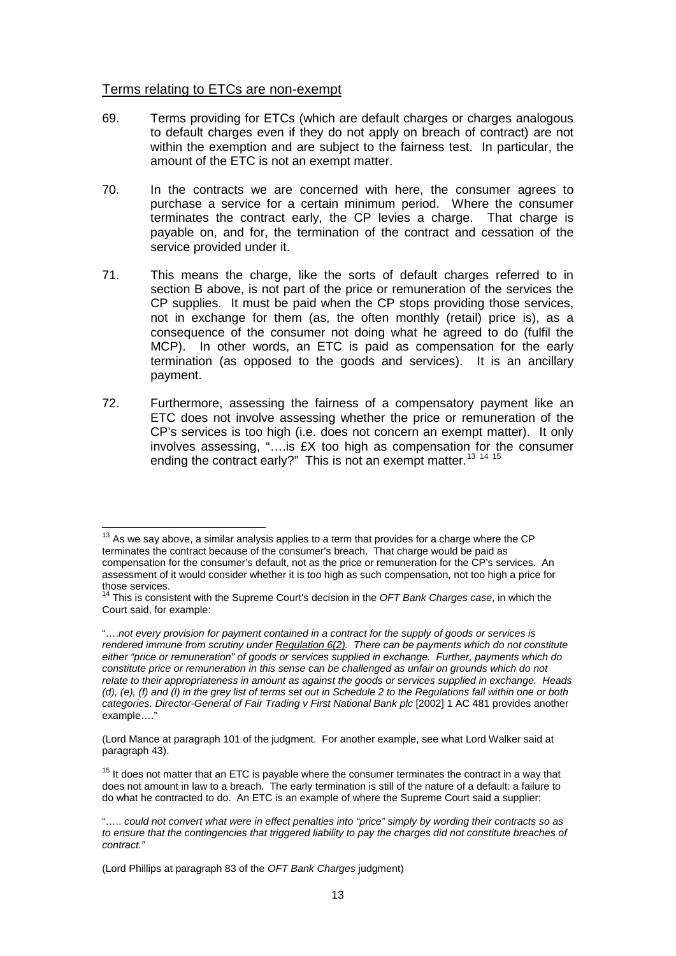### Terms relating to ETCs are non-exempt

- 69. Terms providing for ETCs (which are default charges or charges analogous to default charges even if they do not apply on breach of contract) are not within the exemption and are subject to the fairness test. In particular, the amount of the ETC is not an exempt matter.
- 70. In the contracts we are concerned with here, the consumer agrees to purchase a service for a certain minimum period. Where the consumer terminates the contract early, the CP levies a charge. That charge is payable on, and for, the termination of the contract and cessation of the service provided under it.
- 71. This means the charge, like the sorts of default charges referred to in section B above, is not part of the price or remuneration of the services the CP supplies. It must be paid when the CP stops providing those services, not in exchange for them (as, the often monthly (retail) price is), as a consequence of the consumer not doing what he agreed to do (fulfil the MCP). In other words, an ETC is paid as compensation for the early termination (as opposed to the goods and services). It is an ancillary payment.
- 72. Furthermore, assessing the fairness of a compensatory payment like an ETC does not involve assessing whether the price or remuneration of the CP's services is too high (i.e. does not concern an exempt matter). It only involves assessing, "….is £X too high as compensation for the consumer ending the contract early?" This is not an exempt matter.<sup>[13](#page-12-0) [14](#page-12-1)</sup> <sup>[15](#page-12-2)</sup>

<span id="page-12-0"></span> $13$  As we sav above, a similar analysis applies to a term that provides for a charge where the CP terminates the contract because of the consumer's breach. That charge would be paid as compensation for the consumer's default, not as the price or remuneration for the CP's services. An assessment of it would consider whether it is too high as such compensation, not too high a price for

<span id="page-12-1"></span><sup>&</sup>lt;sup>14</sup> This is consistent with the Supreme Court's decision in the *OFT Bank Charges case*, in which the Court said, for example:

<sup>&</sup>quot;….*not every provision for payment contained in a contract for the supply of goods or services is rendered immune from scrutiny unde[r Regulation 6\(2\).](http://login.westlaw.co.uk/maf/wluk/app/document?src=doc&linktype=ref&&context=1&crumb-action=replace&docguid=I727FDDB0E45011DA8D70A0E70A78ED65) There can be payments which do not constitute either "price or remuneration" of goods or services supplied in exchange. Further, payments which do constitute price or remuneration in this sense can be challenged as unfair on grounds which do not relate to their appropriateness in amount as against the goods or services supplied in exchange. Heads (d), (e), (f) and (l) in the grey list of terms set out in Schedule 2 to the Regulations fall within one or both categories. Director-General of Fair Trading v First National Bank plc* [2002] 1 AC 481 provides another example…."

<sup>(</sup>Lord Mance at paragraph 101 of the judgment. For another example, see what Lord Walker said at paragraph 43).

<span id="page-12-2"></span> $15$  It does not matter that an ETC is payable where the consumer terminates the contract in a way that does not amount in law to a breach. The early termination is still of the nature of a default: a failure to do what he contracted to do. An ETC is an example of where the Supreme Court said a supplier:

<sup>&</sup>quot;….. *could not convert what were in effect penalties into "price" simply by wording their contracts so as to ensure that the contingencies that triggered liability to pay the charges did not constitute breaches of contract."*

<sup>(</sup>Lord Phillips at paragraph 83 of the *OFT Bank Charges* judgment)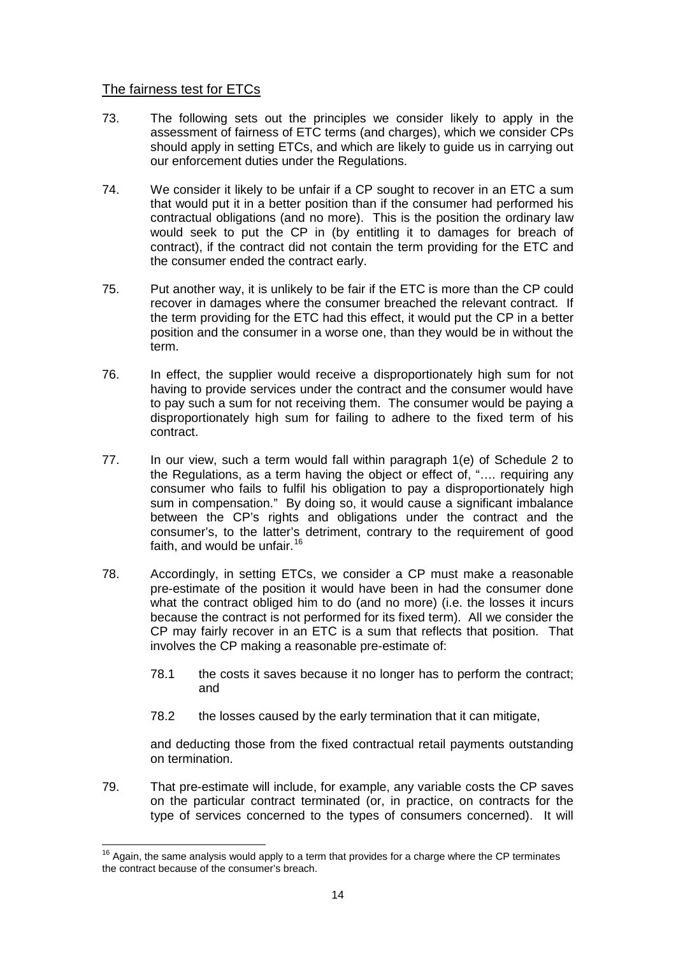### The fairness test for ETCs

- 73. The following sets out the principles we consider likely to apply in the assessment of fairness of ETC terms (and charges), which we consider CPs should apply in setting ETCs, and which are likely to guide us in carrying out our enforcement duties under the Regulations.
- 74. We consider it likely to be unfair if a CP sought to recover in an ETC a sum that would put it in a better position than if the consumer had performed his contractual obligations (and no more). This is the position the ordinary law would seek to put the CP in (by entitling it to damages for breach of contract), if the contract did not contain the term providing for the ETC and the consumer ended the contract early.
- 75. Put another way, it is unlikely to be fair if the ETC is more than the CP could recover in damages where the consumer breached the relevant contract. If the term providing for the ETC had this effect, it would put the CP in a better position and the consumer in a worse one, than they would be in without the term.
- 76. In effect, the supplier would receive a disproportionately high sum for not having to provide services under the contract and the consumer would have to pay such a sum for not receiving them. The consumer would be paying a disproportionately high sum for failing to adhere to the fixed term of his contract.
- 77. In our view, such a term would fall within paragraph 1(e) of Schedule 2 to the Regulations, as a term having the object or effect of, "…. requiring any consumer who fails to fulfil his obligation to pay a disproportionately high sum in compensation." By doing so, it would cause a significant imbalance between the CP's rights and obligations under the contract and the consumer's, to the latter's detriment, contrary to the requirement of good faith, and would be unfair. [16](#page-13-0)
- 78. Accordingly, in setting ETCs, we consider a CP must make a reasonable pre-estimate of the position it would have been in had the consumer done what the contract obliged him to do (and no more) (i.e. the losses it incurs because the contract is not performed for its fixed term). All we consider the CP may fairly recover in an ETC is a sum that reflects that position. That involves the CP making a reasonable pre-estimate of:
	- 78.1 the costs it saves because it no longer has to perform the contract; and
	- 78.2 the losses caused by the early termination that it can mitigate,

and deducting those from the fixed contractual retail payments outstanding on termination.

79. That pre-estimate will include, for example, any variable costs the CP saves on the particular contract terminated (or, in practice, on contracts for the type of services concerned to the types of consumers concerned). It will

<span id="page-13-0"></span> $16$  Again, the same analysis would apply to a term that provides for a charge where the CP terminates the contract because of the consumer's breach.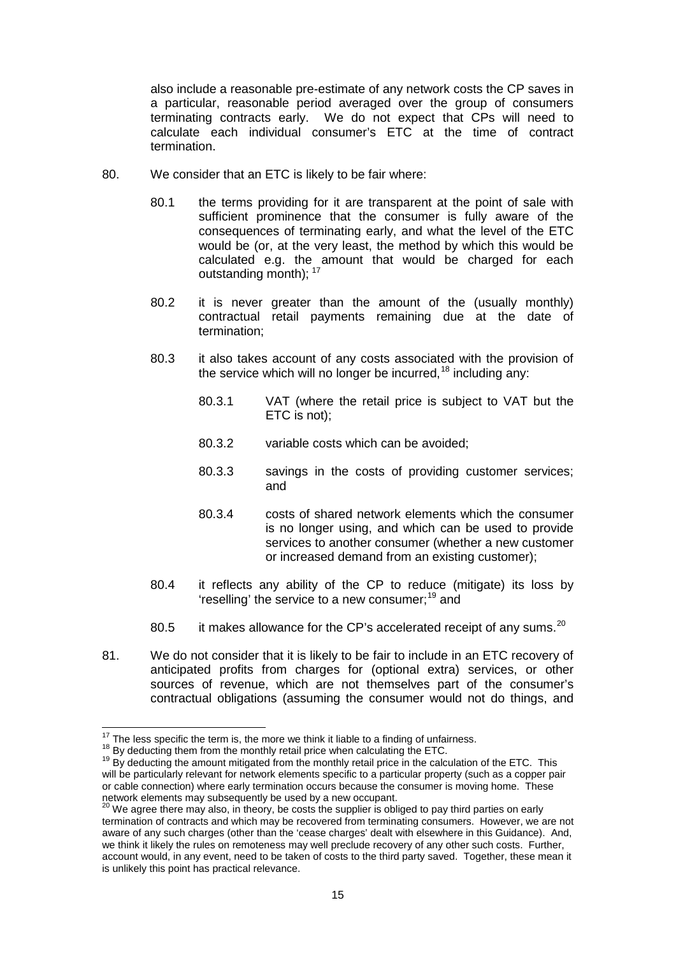also include a reasonable pre-estimate of any network costs the CP saves in a particular, reasonable period averaged over the group of consumers terminating contracts early. We do not expect that CPs will need to calculate each individual consumer's ETC at the time of contract termination.

- 80. We consider that an ETC is likely to be fair where:
	- 80.1 the terms providing for it are transparent at the point of sale with sufficient prominence that the consumer is fully aware of the consequences of terminating early, and what the level of the ETC would be (or, at the very least, the method by which this would be calculated e.g. the amount that would be charged for each outstanding month); <sup>[17](#page-14-0)</sup>
	- 80.2 it is never greater than the amount of the (usually monthly) contractual retail payments remaining due at the date of termination;
	- 80.3 it also takes account of any costs associated with the provision of the service which will no longer be incurred, <sup>[18](#page-14-1)</sup> including any:
		- 80.3.1 VAT (where the retail price is subject to VAT but the ETC is not);
		- 80.3.2 variable costs which can be avoided;
		- 80.3.3 savings in the costs of providing customer services; and
		- 80.3.4 costs of shared network elements which the consumer is no longer using, and which can be used to provide services to another consumer (whether a new customer or increased demand from an existing customer);
	- 80.4 it reflects any ability of the CP to reduce (mitigate) its loss by 'reselling' the service to a new consumer;<sup>[19](#page-14-2)</sup> and
	- 80.5 it makes allowance for the CP's accelerated receipt of any sums.  $^{20}$  $^{20}$  $^{20}$
- 81. We do not consider that it is likely to be fair to include in an ETC recovery of anticipated profits from charges for (optional extra) services, or other sources of revenue, which are not themselves part of the consumer's contractual obligations (assuming the consumer would not do things, and

<span id="page-14-2"></span>

<span id="page-14-1"></span><span id="page-14-0"></span><sup>&</sup>lt;sup>17</sup> The less specific the term is, the more we think it liable to a finding of unfairness.<br><sup>18</sup> By deducting them from the monthly retail price when calculating the ETC.<br><sup>19</sup> By deducting the amount mitigated from the mo will be particularly relevant for network elements specific to a particular property (such as a copper pair or cable connection) where early termination occurs because the consumer is moving home. These network elements may subsequently be used by a new occupant.<br><sup>20</sup> We agree there may also, in theory, be costs the supplier is obliged to pay third parties on early

<span id="page-14-3"></span>termination of contracts and which may be recovered from terminating consumers. However, we are not aware of any such charges (other than the 'cease charges' dealt with elsewhere in this Guidance). And, we think it likely the rules on remoteness may well preclude recovery of any other such costs. Further, account would, in any event, need to be taken of costs to the third party saved. Together, these mean it is unlikely this point has practical relevance.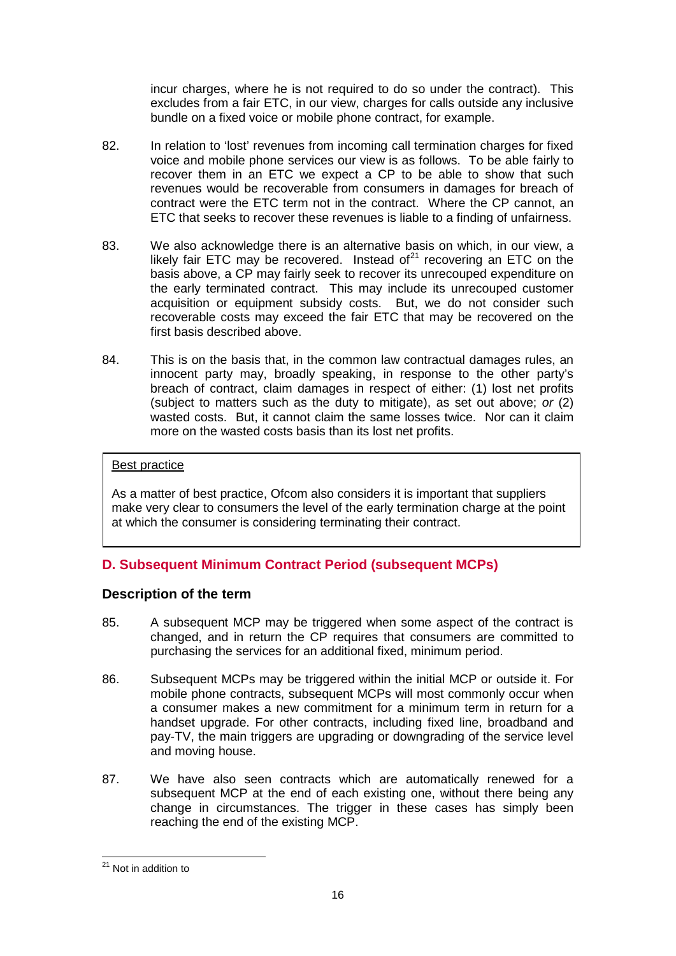incur charges, where he is not required to do so under the contract). This excludes from a fair ETC, in our view, charges for calls outside any inclusive bundle on a fixed voice or mobile phone contract, for example.

- 82. In relation to 'lost' revenues from incoming call termination charges for fixed voice and mobile phone services our view is as follows. To be able fairly to recover them in an ETC we expect a CP to be able to show that such revenues would be recoverable from consumers in damages for breach of contract were the ETC term not in the contract. Where the CP cannot, an ETC that seeks to recover these revenues is liable to a finding of unfairness.
- 83. We also acknowledge there is an alternative basis on which, in our view, a likely fair ETC may be recovered. Instead of $21$  recovering an ETC on the basis above, a CP may fairly seek to recover its unrecouped expenditure on the early terminated contract. This may include its unrecouped customer acquisition or equipment subsidy costs. But, we do not consider such recoverable costs may exceed the fair ETC that may be recovered on the first basis described above.
- 84. This is on the basis that, in the common law contractual damages rules, an innocent party may, broadly speaking, in response to the other party's breach of contract, claim damages in respect of either: (1) lost net profits (subject to matters such as the duty to mitigate), as set out above; *or* (2) wasted costs. But, it cannot claim the same losses twice. Nor can it claim more on the wasted costs basis than its lost net profits.

# Best practice

As a matter of best practice, Ofcom also considers it is important that suppliers make very clear to consumers the level of the early termination charge at the point at which the consumer is considering terminating their contract.

# **D. Subsequent Minimum Contract Period (subsequent MCPs)**

# **Description of the term**

- 85. A subsequent MCP may be triggered when some aspect of the contract is changed, and in return the CP requires that consumers are committed to purchasing the services for an additional fixed, minimum period.
- 86. Subsequent MCPs may be triggered within the initial MCP or outside it. For mobile phone contracts, subsequent MCPs will most commonly occur when a consumer makes a new commitment for a minimum term in return for a handset upgrade. For other contracts, including fixed line, broadband and pay-TV, the main triggers are upgrading or downgrading of the service level and moving house.
- 87. We have also seen contracts which are automatically renewed for a subsequent MCP at the end of each existing one, without there being any change in circumstances. The trigger in these cases has simply been reaching the end of the existing MCP.

<span id="page-15-0"></span><sup>21</sup> Not in addition to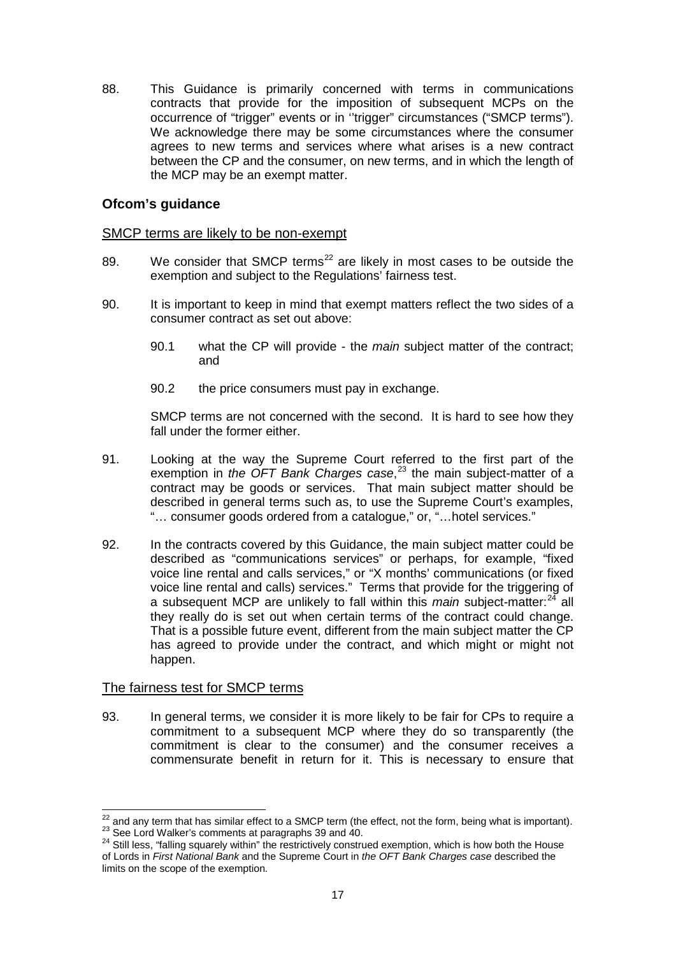88. This Guidance is primarily concerned with terms in communications contracts that provide for the imposition of subsequent MCPs on the occurrence of "trigger" events or in ''trigger" circumstances ("SMCP terms"). We acknowledge there may be some circumstances where the consumer agrees to new terms and services where what arises is a new contract between the CP and the consumer, on new terms, and in which the length of the MCP may be an exempt matter.

### **Ofcom's guidance**

### SMCP terms are likely to be non-exempt

- 89. We consider that SMCP terms<sup>[22](#page-16-0)</sup> are likely in most cases to be outside the exemption and subject to the Regulations' fairness test.
- 90. It is important to keep in mind that exempt matters reflect the two sides of a consumer contract as set out above:
	- 90.1 what the CP will provide the *main* subject matter of the contract; and
	- 90.2 the price consumers must pay in exchange.

SMCP terms are not concerned with the second. It is hard to see how they fall under the former either.

- 91. Looking at the way the Supreme Court referred to the first part of the exemption in *the OFT Bank Charges case*, [23](#page-16-1) the main subject-matter of a contract may be goods or services. That main subject matter should be described in general terms such as, to use the Supreme Court's examples, "… consumer goods ordered from a catalogue," or, "…hotel services."
- 92. In the contracts covered by this Guidance, the main subject matter could be described as "communications services" or perhaps, for example, "fixed voice line rental and calls services," or "X months' communications (or fixed voice line rental and calls) services." Terms that provide for the triggering of a subsequent MCP are unlikely to fall within this *main* subject-matter:<sup>[24](#page-16-2)</sup> all they really do is set out when certain terms of the contract could change. That is a possible future event, different from the main subject matter the CP has agreed to provide under the contract, and which might or might not happen.

### The fairness test for SMCP terms

93. In general terms, we consider it is more likely to be fair for CPs to require a commitment to a subsequent MCP where they do so transparently (the commitment is clear to the consumer) and the consumer receives a commensurate benefit in return for it. This is necessary to ensure that

<span id="page-16-0"></span> $^{22}$  and any term that has similar effect to a SMCP term (the effect, not the form, being what is important).<br>  $^{23}$  See Lord Walker's comments at paragraphs 39 and 40.<br>  $^{24}$  Still less, "falling squarely within" the

<span id="page-16-2"></span><span id="page-16-1"></span>of Lords in *First National Bank* and the Supreme Court in *the OFT Bank Charges case* described the limits on the scope of the exemption*.*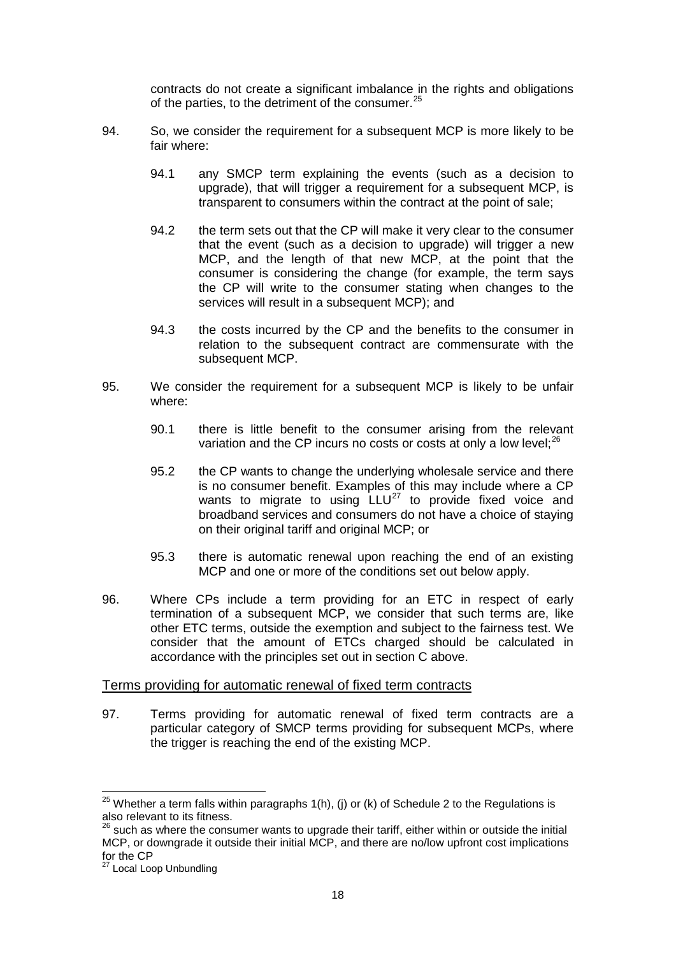contracts do not create a significant imbalance in the rights and obligations of the parties, to the detriment of the consumer.<sup>[25](#page-17-0)</sup>

- 94. So, we consider the requirement for a subsequent MCP is more likely to be fair where:
	- 94.1 any SMCP term explaining the events (such as a decision to upgrade), that will trigger a requirement for a subsequent MCP, is transparent to consumers within the contract at the point of sale;
	- 94.2 the term sets out that the CP will make it very clear to the consumer that the event (such as a decision to upgrade) will trigger a new MCP, and the length of that new MCP, at the point that the consumer is considering the change (for example, the term says the CP will write to the consumer stating when changes to the services will result in a subsequent MCP); and
	- 94.3 the costs incurred by the CP and the benefits to the consumer in relation to the subsequent contract are commensurate with the subsequent MCP.
- 95. We consider the requirement for a subsequent MCP is likely to be unfair where:
	- 90.1 there is little benefit to the consumer arising from the relevant variation and the CP incurs no costs or costs at only a low level; $^{26}$  $^{26}$  $^{26}$
	- 95.2 the CP wants to change the underlying wholesale service and there is no consumer benefit. Examples of this may include where a CP wants to migrate to using  $LLU^{27}$  $LLU^{27}$  $LLU^{27}$  to provide fixed voice and broadband services and consumers do not have a choice of staying on their original tariff and original MCP; or
	- 95.3 there is automatic renewal upon reaching the end of an existing MCP and one or more of the conditions set out below apply.
- 96. Where CPs include a term providing for an ETC in respect of early termination of a subsequent MCP, we consider that such terms are, like other ETC terms, outside the exemption and subject to the fairness test. We consider that the amount of ETCs charged should be calculated in accordance with the principles set out in section C above.

### Terms providing for automatic renewal of fixed term contracts

97. Terms providing for automatic renewal of fixed term contracts are a particular category of SMCP terms providing for subsequent MCPs, where the trigger is reaching the end of the existing MCP.

<span id="page-17-0"></span> $25$  Whether a term falls within paragraphs 1(h), (j) or (k) of Schedule 2 to the Regulations is also relevant to its fitness.

<span id="page-17-1"></span> $26$  such as where the consumer wants to upgrade their tariff, either within or outside the initial MCP, or downgrade it outside their initial MCP, and there are no/low upfront cost implications for the CP

<span id="page-17-2"></span> $\sigma$  Local Loop Unbundling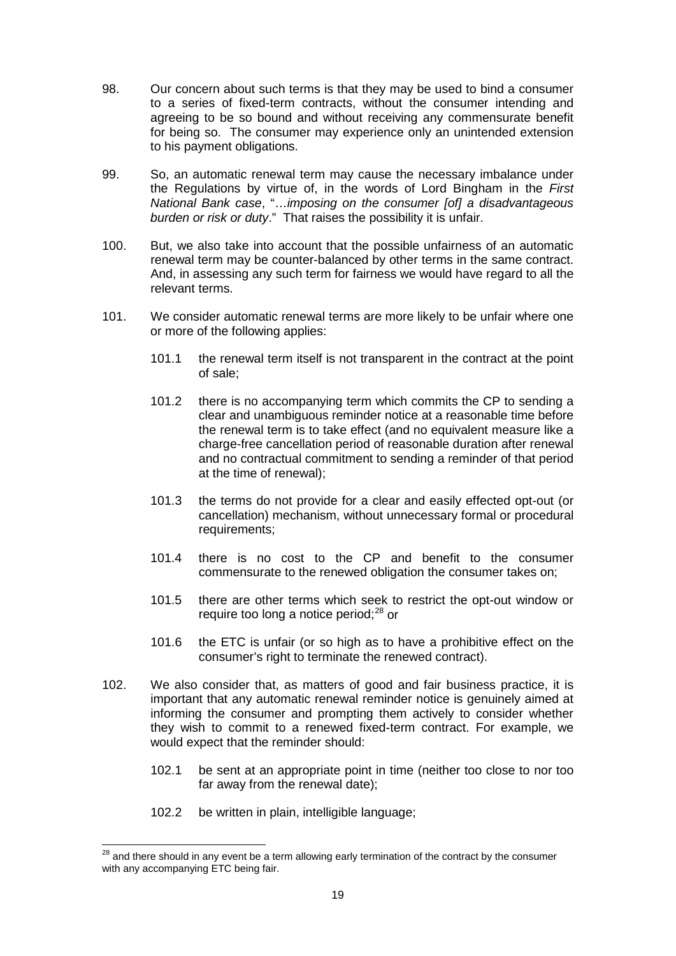- 98. Our concern about such terms is that they may be used to bind a consumer to a series of fixed-term contracts, without the consumer intending and agreeing to be so bound and without receiving any commensurate benefit for being so. The consumer may experience only an unintended extension to his payment obligations.
- 99. So, an automatic renewal term may cause the necessary imbalance under the Regulations by virtue of, in the words of Lord Bingham in the *First National Bank case*, "…*imposing on the consumer [of] a disadvantageous burden or risk or duty*." That raises the possibility it is unfair.
- 100. But, we also take into account that the possible unfairness of an automatic renewal term may be counter-balanced by other terms in the same contract. And, in assessing any such term for fairness we would have regard to all the relevant terms.
- 101. We consider automatic renewal terms are more likely to be unfair where one or more of the following applies:
	- 101.1 the renewal term itself is not transparent in the contract at the point of sale;
	- 101.2 there is no accompanying term which commits the CP to sending a clear and unambiguous reminder notice at a reasonable time before the renewal term is to take effect (and no equivalent measure like a charge-free cancellation period of reasonable duration after renewal and no contractual commitment to sending a reminder of that period at the time of renewal);
	- 101.3 the terms do not provide for a clear and easily effected opt-out (or cancellation) mechanism, without unnecessary formal or procedural requirements;
	- 101.4 there is no cost to the CP and benefit to the consumer commensurate to the renewed obligation the consumer takes on;
	- 101.5 there are other terms which seek to restrict the opt-out window or require too long a notice period;<sup>[28](#page-18-0)</sup> or
	- 101.6 the ETC is unfair (or so high as to have a prohibitive effect on the consumer's right to terminate the renewed contract).
- 102. We also consider that, as matters of good and fair business practice, it is important that any automatic renewal reminder notice is genuinely aimed at informing the consumer and prompting them actively to consider whether they wish to commit to a renewed fixed-term contract. For example, we would expect that the reminder should:
	- 102.1 be sent at an appropriate point in time (neither too close to nor too far away from the renewal date);
	- 102.2 be written in plain, intelligible language;

<span id="page-18-0"></span><sup>&</sup>lt;sup>28</sup> and there should in any event be a term allowing early termination of the contract by the consumer with any accompanying ETC being fair.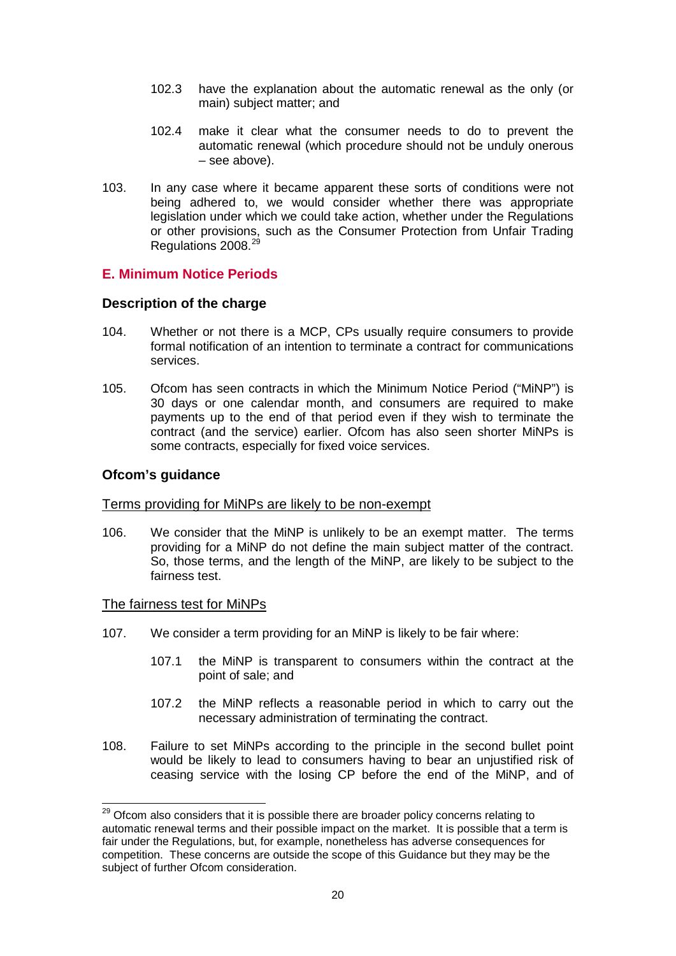- 102.3 have the explanation about the automatic renewal as the only (or main) subject matter; and
- 102.4 make it clear what the consumer needs to do to prevent the automatic renewal (which procedure should not be unduly onerous – see above).
- 103. In any case where it became apparent these sorts of conditions were not being adhered to, we would consider whether there was appropriate legislation under which we could take action, whether under the Regulations or other provisions, such as the Consumer Protection from Unfair Trading Regulations 2008.<sup>[29](#page-19-0)</sup>

# **E. Minimum Notice Periods**

### **Description of the charge**

- 104. Whether or not there is a MCP, CPs usually require consumers to provide formal notification of an intention to terminate a contract for communications services.
- 105. Ofcom has seen contracts in which the Minimum Notice Period ("MiNP") is 30 days or one calendar month, and consumers are required to make payments up to the end of that period even if they wish to terminate the contract (and the service) earlier. Ofcom has also seen shorter MiNPs is some contracts, especially for fixed voice services.

### **Ofcom's guidance**

### Terms providing for MiNPs are likely to be non-exempt

106. We consider that the MiNP is unlikely to be an exempt matter. The terms providing for a MiNP do not define the main subject matter of the contract. So, those terms, and the length of the MiNP, are likely to be subject to the fairness test.

### The fairness test for MiNPs

- 107. We consider a term providing for an MiNP is likely to be fair where:
	- 107.1 the MiNP is transparent to consumers within the contract at the point of sale; and
	- 107.2 the MiNP reflects a reasonable period in which to carry out the necessary administration of terminating the contract.
- 108. Failure to set MiNPs according to the principle in the second bullet point would be likely to lead to consumers having to bear an unjustified risk of ceasing service with the losing CP before the end of the MiNP, and of

<span id="page-19-0"></span><sup>&</sup>lt;sup>29</sup> Ofcom also considers that it is possible there are broader policy concerns relating to automatic renewal terms and their possible impact on the market. It is possible that a term is fair under the Regulations, but, for example, nonetheless has adverse consequences for competition. These concerns are outside the scope of this Guidance but they may be the subject of further Ofcom consideration.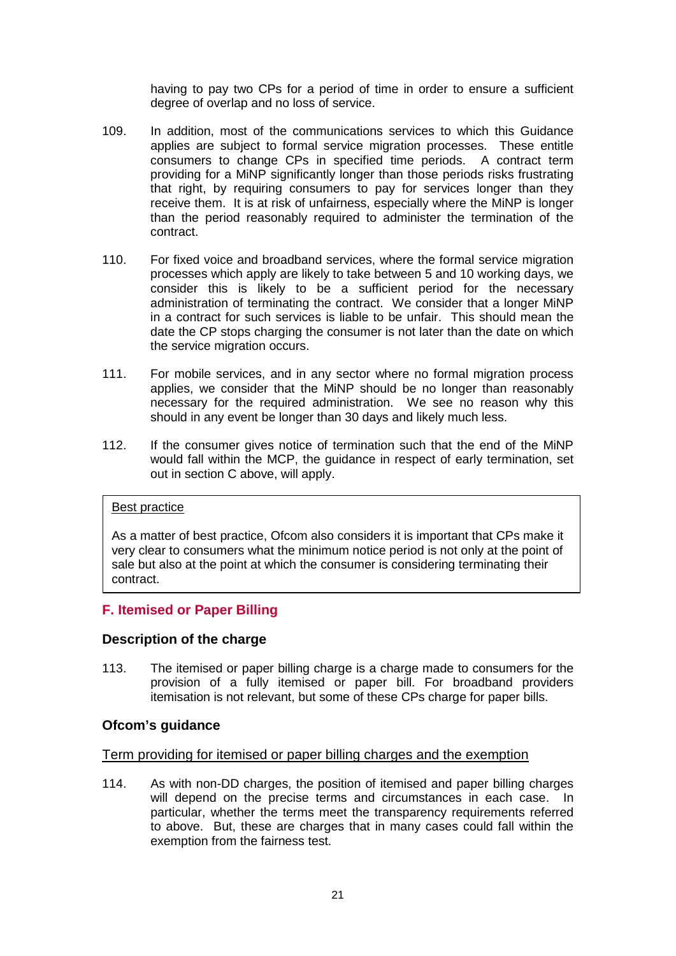having to pay two CPs for a period of time in order to ensure a sufficient degree of overlap and no loss of service.

- 109. In addition, most of the communications services to which this Guidance applies are subject to formal service migration processes. These entitle consumers to change CPs in specified time periods. A contract term providing for a MiNP significantly longer than those periods risks frustrating that right, by requiring consumers to pay for services longer than they receive them. It is at risk of unfairness, especially where the MiNP is longer than the period reasonably required to administer the termination of the contract.
- 110. For fixed voice and broadband services, where the formal service migration processes which apply are likely to take between 5 and 10 working days, we consider this is likely to be a sufficient period for the necessary administration of terminating the contract. We consider that a longer MiNP in a contract for such services is liable to be unfair. This should mean the date the CP stops charging the consumer is not later than the date on which the service migration occurs.
- 111. For mobile services, and in any sector where no formal migration process applies, we consider that the MiNP should be no longer than reasonably necessary for the required administration. We see no reason why this should in any event be longer than 30 days and likely much less.
- 112. If the consumer gives notice of termination such that the end of the MiNP would fall within the MCP, the guidance in respect of early termination, set out in section C above, will apply.

### Best practice

As a matter of best practice, Ofcom also considers it is important that CPs make it very clear to consumers what the minimum notice period is not only at the point of sale but also at the point at which the consumer is considering terminating their contract.

# **F. Itemised or Paper Billing**

### **Description of the charge**

113. The itemised or paper billing charge is a charge made to consumers for the provision of a fully itemised or paper bill. For broadband providers itemisation is not relevant, but some of these CPs charge for paper bills.

### **Ofcom's guidance**

### Term providing for itemised or paper billing charges and the exemption

114. As with non-DD charges, the position of itemised and paper billing charges will depend on the precise terms and circumstances in each case. In particular, whether the terms meet the transparency requirements referred to above. But, these are charges that in many cases could fall within the exemption from the fairness test.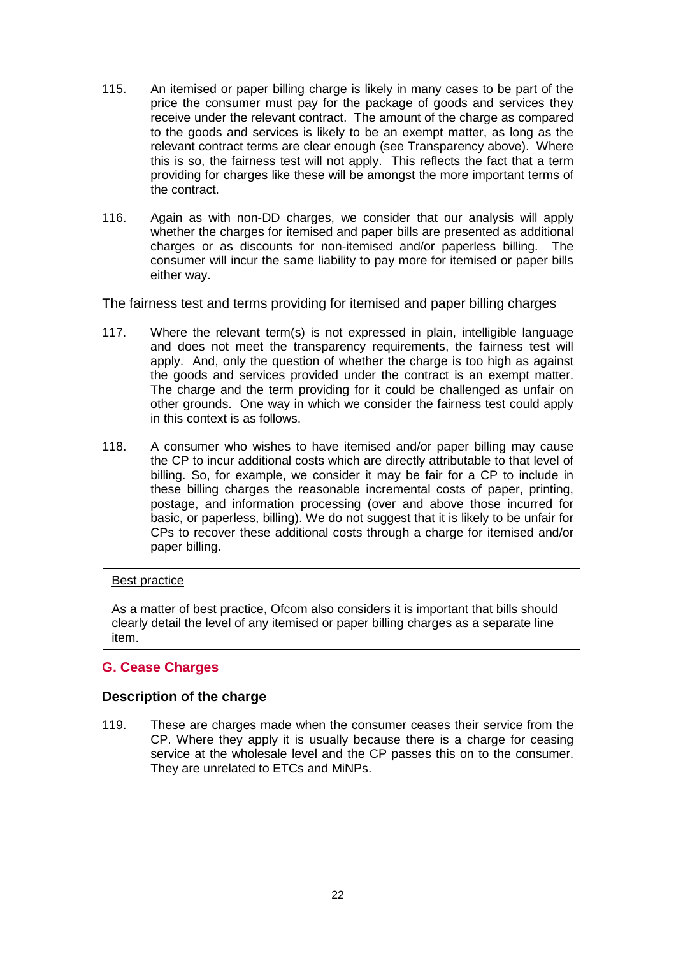- 115. An itemised or paper billing charge is likely in many cases to be part of the price the consumer must pay for the package of goods and services they receive under the relevant contract. The amount of the charge as compared to the goods and services is likely to be an exempt matter, as long as the relevant contract terms are clear enough (see Transparency above). Where this is so, the fairness test will not apply. This reflects the fact that a term providing for charges like these will be amongst the more important terms of the contract.
- 116. Again as with non-DD charges, we consider that our analysis will apply whether the charges for itemised and paper bills are presented as additional charges or as discounts for non-itemised and/or paperless billing. The consumer will incur the same liability to pay more for itemised or paper bills either way.

### The fairness test and terms providing for itemised and paper billing charges

- 117. Where the relevant term(s) is not expressed in plain, intelligible language and does not meet the transparency requirements, the fairness test will apply. And, only the question of whether the charge is too high as against the goods and services provided under the contract is an exempt matter. The charge and the term providing for it could be challenged as unfair on other grounds. One way in which we consider the fairness test could apply in this context is as follows.
- 118. A consumer who wishes to have itemised and/or paper billing may cause the CP to incur additional costs which are directly attributable to that level of billing. So, for example, we consider it may be fair for a CP to include in these billing charges the reasonable incremental costs of paper, printing, postage, and information processing (over and above those incurred for basic, or paperless, billing). We do not suggest that it is likely to be unfair for CPs to recover these additional costs through a charge for itemised and/or paper billing.

### Best practice

As a matter of best practice, Ofcom also considers it is important that bills should clearly detail the level of any itemised or paper billing charges as a separate line item.

# **G. Cease Charges**

# **Description of the charge**

119. These are charges made when the consumer ceases their service from the CP. Where they apply it is usually because there is a charge for ceasing service at the wholesale level and the CP passes this on to the consumer. They are unrelated to ETCs and MiNPs.